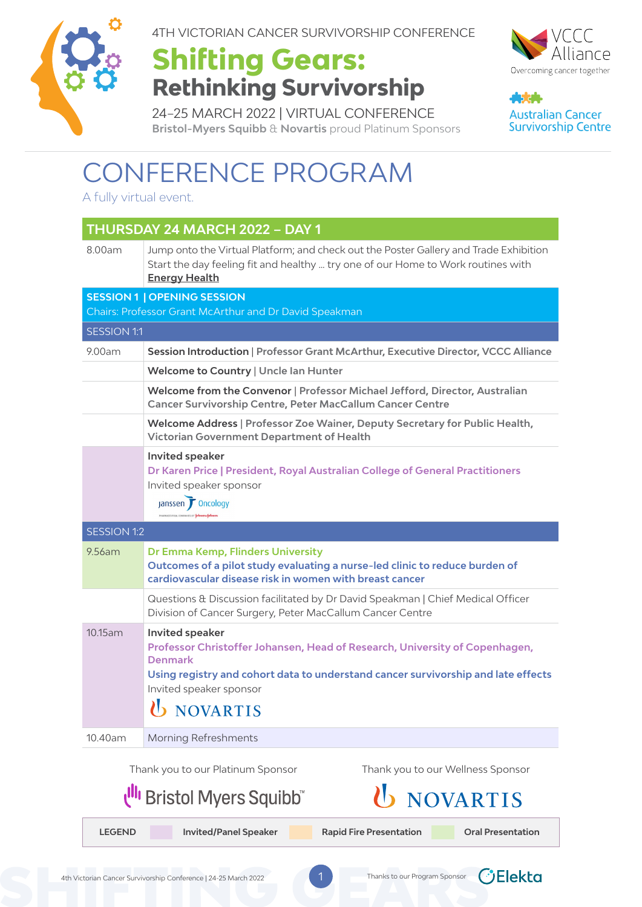

4TH VICTORIAN CANCER SURVIVORSHIP CONFERENCE

#### **Shifting Gears: Rethinking Survivorship**



45.4 **Australian Cancer Survivorship Centre** 

24–25 MARCH 2022 | VIRTUAL CONFERENCE **Bristol-Myers Squibb** & **Novartis** proud Platinum Sponsors

#### CONFERENCE PROGRAM

A fully virtual event.

| THURSDAY 24 MARCH 2022 - DAY 1 |                                                                                                                                                                                                                                                |  |  |  |  |
|--------------------------------|------------------------------------------------------------------------------------------------------------------------------------------------------------------------------------------------------------------------------------------------|--|--|--|--|
| 8.00am                         | Jump onto the Virtual Platform; and check out the Poster Gallery and Trade Exhibition<br>Start the day feeling fit and healthy  try one of our Home to Work routines with<br><b>Energy Health</b>                                              |  |  |  |  |
|                                | <b>SESSION 1   OPENING SESSION</b><br>Chairs: Professor Grant McArthur and Dr David Speakman                                                                                                                                                   |  |  |  |  |
| <b>SESSION 1:1</b>             |                                                                                                                                                                                                                                                |  |  |  |  |
| 9.00am                         | Session Introduction   Professor Grant McArthur, Executive Director, VCCC Alliance                                                                                                                                                             |  |  |  |  |
|                                | Welcome to Country   Uncle Ian Hunter                                                                                                                                                                                                          |  |  |  |  |
|                                | Welcome from the Convenor   Professor Michael Jefford, Director, Australian<br><b>Cancer Survivorship Centre, Peter MacCallum Cancer Centre</b>                                                                                                |  |  |  |  |
|                                | Welcome Address   Professor Zoe Wainer, Deputy Secretary for Public Health,<br>Victorian Government Department of Health                                                                                                                       |  |  |  |  |
|                                | <b>Invited speaker</b><br>Dr Karen Price   President, Royal Australian College of General Practitioners<br>Invited speaker sponsor<br>Janssen T Oncology                                                                                       |  |  |  |  |
|                                | <b>SESSION 1:2</b>                                                                                                                                                                                                                             |  |  |  |  |
| $9.56$ am                      | Dr Emma Kemp, Flinders University<br>Outcomes of a pilot study evaluating a nurse-led clinic to reduce burden of<br>cardiovascular disease risk in women with breast cancer                                                                    |  |  |  |  |
|                                | Questions & Discussion facilitated by Dr David Speakman   Chief Medical Officer<br>Division of Cancer Surgery, Peter MacCallum Cancer Centre                                                                                                   |  |  |  |  |
| 10.15am                        | Invited speaker<br>Professor Christoffer Johansen, Head of Research, University of Copenhagen,<br><b>Denmark</b><br>Using registry and cohort data to understand cancer survivorship and late effects<br>Invited speaker sponsor<br>U NOVARTIS |  |  |  |  |
| 10.40am                        | <b>Morning Refreshments</b>                                                                                                                                                                                                                    |  |  |  |  |
|                                | Thank you to our Wellness Sponsor<br>Thank you to our Platinum Sponsor<br><b>III</b> Bristol Myers Squibb™<br><b>NOVARTIS</b>                                                                                                                  |  |  |  |  |

**LEGEND** Invited/Panel Speaker Rapid Fire Presentation Cral Presentation

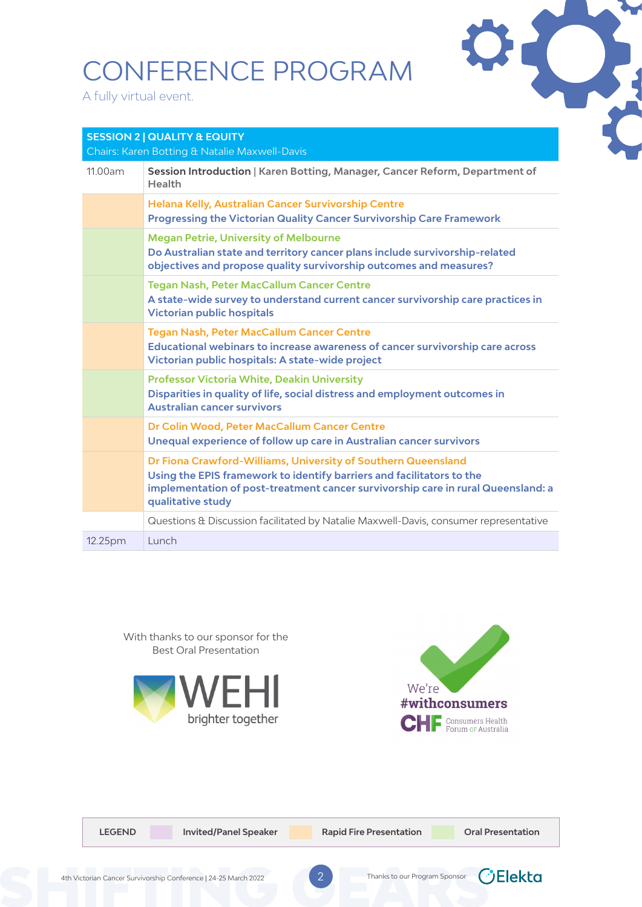A fully virtual event.



| <b>SESSION 2   QUALITY &amp; EQUITY</b><br>Chairs: Karen Botting & Natalie Maxwell-Davis |                                                                                                                                                                                                                                                 |  |  |
|------------------------------------------------------------------------------------------|-------------------------------------------------------------------------------------------------------------------------------------------------------------------------------------------------------------------------------------------------|--|--|
| 11.00am                                                                                  | Session Introduction   Karen Botting, Manager, Cancer Reform, Department of<br><b>Health</b>                                                                                                                                                    |  |  |
|                                                                                          | Helana Kelly, Australian Cancer Survivorship Centre<br><b>Progressing the Victorian Quality Cancer Survivorship Care Framework</b>                                                                                                              |  |  |
|                                                                                          | <b>Megan Petrie, University of Melbourne</b><br>Do Australian state and territory cancer plans include survivorship-related<br>objectives and propose quality survivorship outcomes and measures?                                               |  |  |
|                                                                                          | <b>Tegan Nash, Peter MacCallum Cancer Centre</b><br>A state-wide survey to understand current cancer survivorship care practices in<br><b>Victorian public hospitals</b>                                                                        |  |  |
|                                                                                          | <b>Tegan Nash, Peter MacCallum Cancer Centre</b><br>Educational webinars to increase awareness of cancer survivorship care across<br>Victorian public hospitals: A state-wide project                                                           |  |  |
|                                                                                          | <b>Professor Victoria White, Deakin University</b><br>Disparities in quality of life, social distress and employment outcomes in<br><b>Australian cancer survivors</b>                                                                          |  |  |
|                                                                                          | Dr Colin Wood, Peter MacCallum Cancer Centre<br>Unequal experience of follow up care in Australian cancer survivors                                                                                                                             |  |  |
|                                                                                          | Dr Fiona Crawford-Williams, University of Southern Queensland<br>Using the EPIS framework to identify barriers and facilitators to the<br>implementation of post-treatment cancer survivorship care in rural Queensland: a<br>qualitative study |  |  |
|                                                                                          | Questions & Discussion facilitated by Natalie Maxwell-Davis, consumer representative                                                                                                                                                            |  |  |
| 12.25pm                                                                                  | Lunch                                                                                                                                                                                                                                           |  |  |

With thanks to our sponsor for the Best Oral Presentation





| <b>LEGEND</b> | <b>Invited/Panel Speaker</b> | <b>Rapid Fire Presentation</b> | <b>Oral Presentation</b> |
|---------------|------------------------------|--------------------------------|--------------------------|
|               |                              |                                |                          |

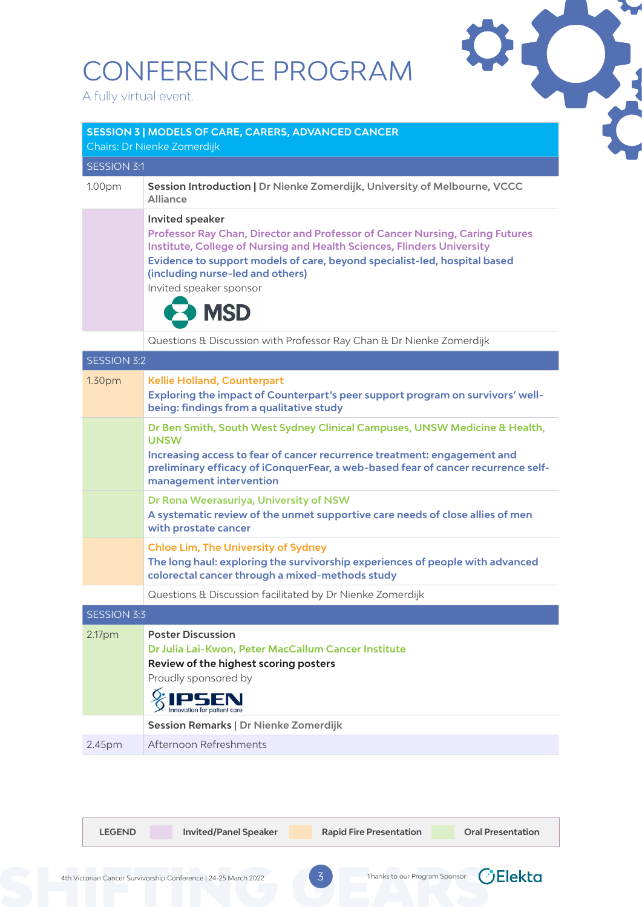**SESSION 3 | MODELS OF CARE, CARERS, ADVANCED CANCER**

A fully virtual event.



| Chairs: Dr Nienke Zomerdijk |                                                                                                                                                                                                                                                                                                                                                   |  |  |
|-----------------------------|---------------------------------------------------------------------------------------------------------------------------------------------------------------------------------------------------------------------------------------------------------------------------------------------------------------------------------------------------|--|--|
| <b>SESSION 3:1</b>          |                                                                                                                                                                                                                                                                                                                                                   |  |  |
| 1.00pm                      | Session Introduction   Dr Nienke Zomerdijk, University of Melbourne, VCCC<br><b>Alliance</b>                                                                                                                                                                                                                                                      |  |  |
|                             | <b>Invited speaker</b><br>Professor Ray Chan, Director and Professor of Cancer Nursing, Caring Futures<br><b>Institute, College of Nursing and Health Sciences, Flinders University</b><br>Evidence to support models of care, beyond specialist-led, hospital based<br>(including nurse-led and others)<br>Invited speaker sponsor<br><b>MSD</b> |  |  |
|                             | Questions & Discussion with Professor Ray Chan & Dr Nienke Zomerdijk                                                                                                                                                                                                                                                                              |  |  |
| <b>SESSION 3:2</b>          |                                                                                                                                                                                                                                                                                                                                                   |  |  |
| 1.30pm                      | <b>Kellie Holland, Counterpart</b><br>Exploring the impact of Counterpart's peer support program on survivors' well-<br>being: findings from a qualitative study                                                                                                                                                                                  |  |  |
|                             | Dr Ben Smith, South West Sydney Clinical Campuses, UNSW Medicine & Health,<br><b>UNSW</b><br>Increasing access to fear of cancer recurrence treatment: engagement and<br>preliminary efficacy of iConquerFear, a web-based fear of cancer recurrence self-<br>management intervention                                                             |  |  |
|                             | Dr Rona Weerasuriya, University of NSW<br>A systematic review of the unmet supportive care needs of close allies of men<br>with prostate cancer                                                                                                                                                                                                   |  |  |
|                             | <b>Chloe Lim, The University of Sydney</b><br>The long haul: exploring the survivorship experiences of people with advanced<br>colorectal cancer through a mixed-methods study                                                                                                                                                                    |  |  |
|                             | Questions & Discussion facilitated by Dr Nienke Zomerdijk                                                                                                                                                                                                                                                                                         |  |  |
| <b>SESSION 3:3</b>          |                                                                                                                                                                                                                                                                                                                                                   |  |  |
| 2.17pm                      | <b>Poster Discussion</b><br>Dr Julia Lai-Kwon, Peter MacCallum Cancer Institute<br>Review of the highest scoring posters<br>Proudly sponsored by                                                                                                                                                                                                  |  |  |

|                    | <b>SENTENT STATE</b>                  |
|--------------------|---------------------------------------|
|                    | Session Remarks   Dr Nienke Zomerdijk |
| 2.45 <sub>pm</sub> | Afternoon Refreshments                |

**Let Invited/Panel Speaker Rapid Fire Presentation Capital Presentation** 

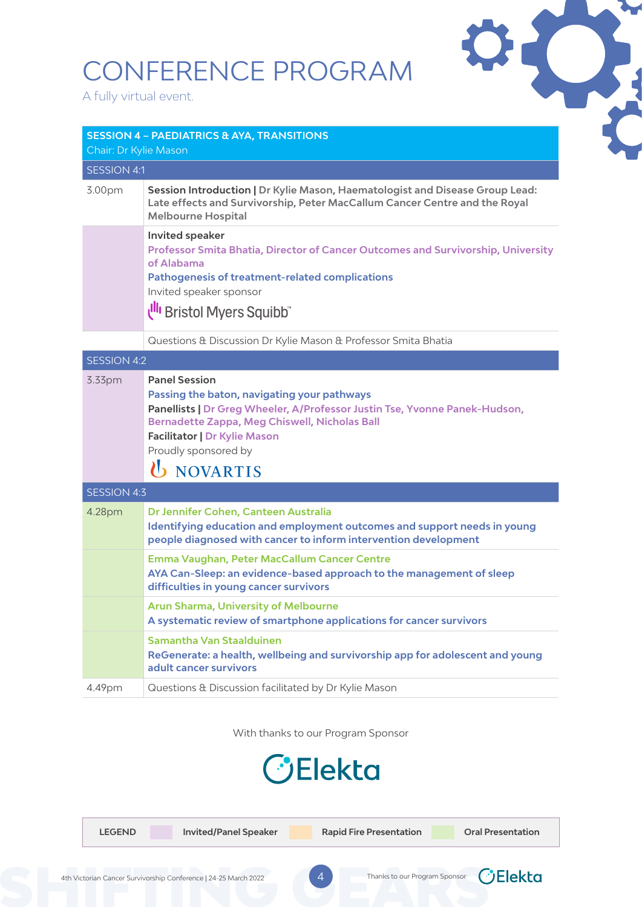A fully virtual event.



| <b>SESSION 4 - PAEDIATRICS &amp; AYA, TRANSITIONS</b><br>Chair: Dr Kylie Mason |                                                                                                                                                                                                                                                                                               |  |  |  |  |
|--------------------------------------------------------------------------------|-----------------------------------------------------------------------------------------------------------------------------------------------------------------------------------------------------------------------------------------------------------------------------------------------|--|--|--|--|
| SESSION 4:1                                                                    |                                                                                                                                                                                                                                                                                               |  |  |  |  |
| 3.00pm                                                                         | Session Introduction   Dr Kylie Mason, Haematologist and Disease Group Lead:<br>Late effects and Survivorship, Peter MacCallum Cancer Centre and the Royal<br><b>Melbourne Hospital</b>                                                                                                       |  |  |  |  |
|                                                                                | Invited speaker<br>Professor Smita Bhatia, Director of Cancer Outcomes and Survivorship, University<br>of Alabama<br><b>Pathogenesis of treatment-related complications</b><br>Invited speaker sponsor<br><b>Ull</b> Bristol Myers Squibb"                                                    |  |  |  |  |
|                                                                                |                                                                                                                                                                                                                                                                                               |  |  |  |  |
|                                                                                | Questions & Discussion Dr Kylie Mason & Professor Smita Bhatia                                                                                                                                                                                                                                |  |  |  |  |
| <b>SESSION 4:2</b>                                                             |                                                                                                                                                                                                                                                                                               |  |  |  |  |
| 3.33pm                                                                         | <b>Panel Session</b><br>Passing the baton, navigating your pathways<br>Panellists   Dr Greg Wheeler, A/Professor Justin Tse, Yvonne Panek-Hudson,<br><b>Bernadette Zappa, Meg Chiswell, Nicholas Ball</b><br><b>Facilitator   Dr Kylie Mason</b><br>Proudly sponsored by<br><b>U</b> NOVARTIS |  |  |  |  |
| <b>SESSION 4:3</b>                                                             |                                                                                                                                                                                                                                                                                               |  |  |  |  |
| 4.28pm                                                                         | Dr Jennifer Cohen, Canteen Australia<br>Identifying education and employment outcomes and support needs in young<br>people diagnosed with cancer to inform intervention development                                                                                                           |  |  |  |  |
|                                                                                | Emma Vaughan, Peter MacCallum Cancer Centre<br>AYA Can-Sleep: an evidence-based approach to the management of sleep<br>difficulties in young cancer survivors                                                                                                                                 |  |  |  |  |
|                                                                                | <b>Arun Sharma, University of Melbourne</b><br>A systematic review of smartphone applications for cancer survivors                                                                                                                                                                            |  |  |  |  |
|                                                                                | Samantha Van Staalduinen<br>ReGenerate: a health, wellbeing and survivorship app for adolescent and young<br>adult cancer survivors                                                                                                                                                           |  |  |  |  |
| 4.49pm                                                                         | Questions & Discussion facilitated by Dr Kylie Mason                                                                                                                                                                                                                                          |  |  |  |  |

With thanks to our Program Sponsor

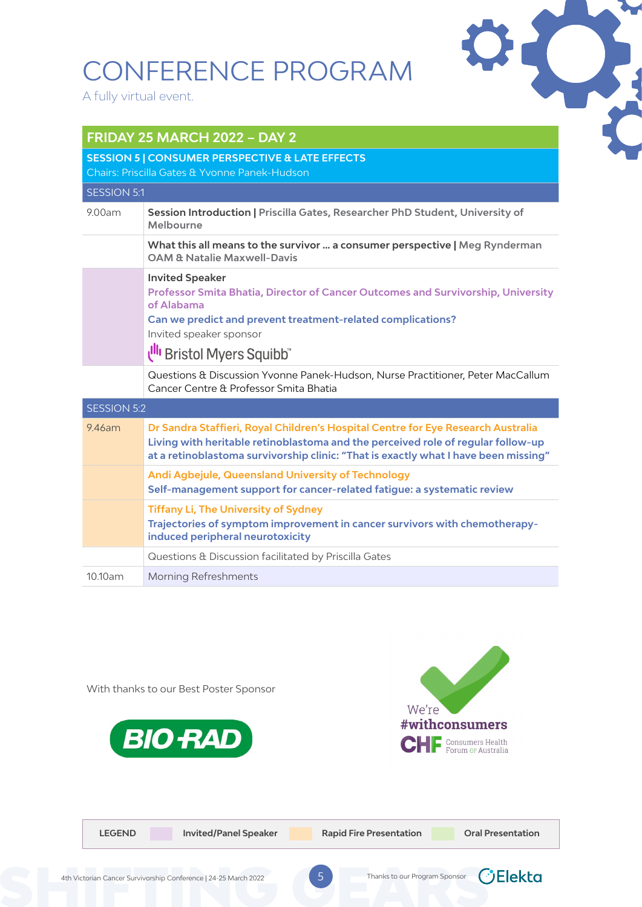A fully virtual event.

**FRIDAY 25 MARCH 2022 – DAY 2**



| ENIDAT ZJ MANCH ZUZZ – DAT Z                                                                                |                                                                                                                                                                                                                                                             |  |  |  |
|-------------------------------------------------------------------------------------------------------------|-------------------------------------------------------------------------------------------------------------------------------------------------------------------------------------------------------------------------------------------------------------|--|--|--|
| <b>SESSION 5   CONSUMER PERSPECTIVE &amp; LATE EFFECTS</b><br>Chairs: Priscilla Gates & Yvonne Panek-Hudson |                                                                                                                                                                                                                                                             |  |  |  |
|                                                                                                             |                                                                                                                                                                                                                                                             |  |  |  |
| <b>SESSION 5:1</b>                                                                                          |                                                                                                                                                                                                                                                             |  |  |  |
| 9.00am                                                                                                      | Session Introduction   Priscilla Gates, Researcher PhD Student, University of<br>Melbourne                                                                                                                                                                  |  |  |  |
|                                                                                                             | What this all means to the survivor  a consumer perspective   Meg Rynderman<br><b>OAM &amp; Natalie Maxwell-Davis</b>                                                                                                                                       |  |  |  |
|                                                                                                             | <b>Invited Speaker</b><br>Professor Smita Bhatia, Director of Cancer Outcomes and Survivorship, University<br>of Alabama<br>Can we predict and prevent treatment-related complications?<br>Invited speaker sponsor<br>Ull Bristol Myers Squibb"             |  |  |  |
|                                                                                                             | Questions & Discussion Yvonne Panek-Hudson, Nurse Practitioner, Peter MacCallum<br>Cancer Centre & Professor Smita Bhatia                                                                                                                                   |  |  |  |
| <b>SESSION 5:2</b>                                                                                          |                                                                                                                                                                                                                                                             |  |  |  |
| 9.46am                                                                                                      | Dr Sandra Staffieri, Royal Children's Hospital Centre for Eye Research Australia<br>Living with heritable retinoblastoma and the perceived role of regular follow-up<br>at a retinoblastoma survivorship clinic: "That is exactly what I have been missing" |  |  |  |
|                                                                                                             | <b>Andi Agbejule, Queensland University of Technology</b><br>Self-management support for cancer-related fatigue: a systematic review                                                                                                                        |  |  |  |
|                                                                                                             | <b>Tiffany Li, The University of Sydney</b><br>Trajectories of symptom improvement in cancer survivors with chemotherapy-<br>induced peripheral neurotoxicity                                                                                               |  |  |  |
|                                                                                                             | Questions & Discussion facilitated by Priscilla Gates                                                                                                                                                                                                       |  |  |  |
| 10.10am                                                                                                     | <b>Morning Refreshments</b>                                                                                                                                                                                                                                 |  |  |  |







| <b>LEGEND</b> | <b>Invited/Panel Speaker</b>                                    |   | <b>Rapid Fire Presentation</b> | <b>Oral Presentation</b> |
|---------------|-----------------------------------------------------------------|---|--------------------------------|--------------------------|
|               | 4th Victorian Cancer Survivorship Conference   24-25 March 2022 | ∽ | Thanks to our Program Sponsor  | $C$ Elekta               |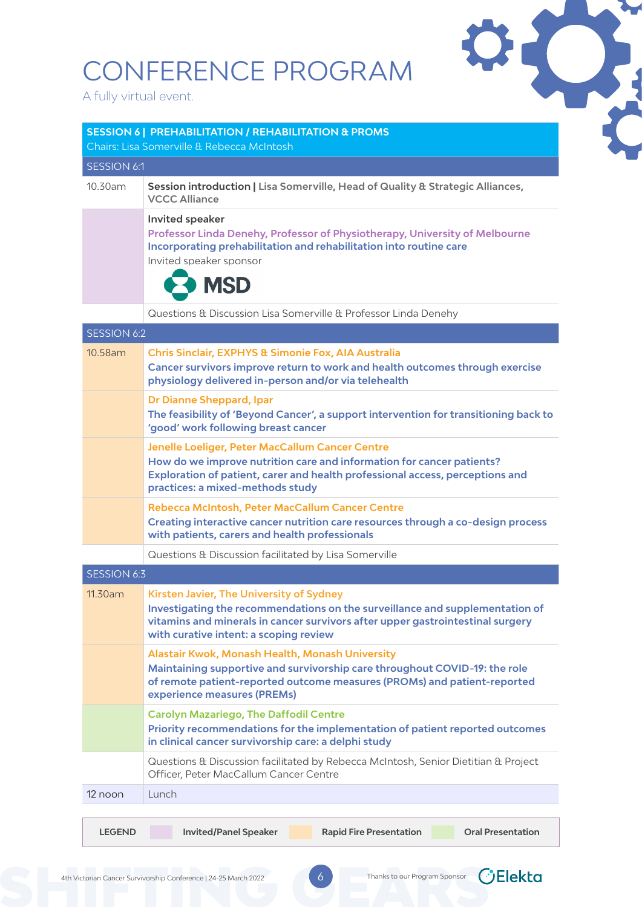|                        | CONFERENCE PROGRAM                                                                                            |                                                                                                                                                                |                          |
|------------------------|---------------------------------------------------------------------------------------------------------------|----------------------------------------------------------------------------------------------------------------------------------------------------------------|--------------------------|
| A fully virtual event. |                                                                                                               |                                                                                                                                                                |                          |
|                        |                                                                                                               |                                                                                                                                                                |                          |
|                        | <b>SESSION 6   PREHABILITATION / REHABILITATION &amp; PROMS</b><br>Chairs: Lisa Somerville & Rebecca McIntosh |                                                                                                                                                                |                          |
| <b>SESSION 6:1</b>     |                                                                                                               |                                                                                                                                                                |                          |
| 10.30am                | <b>VCCC Alliance</b>                                                                                          | Session introduction   Lisa Somerville, Head of Quality & Strategic Alliances,                                                                                 |                          |
|                        | <b>Invited speaker</b><br>Invited speaker sponsor<br><b>MSD</b>                                               | Professor Linda Denehy, Professor of Physiotherapy, University of Melbourne<br>Incorporating prehabilitation and rehabilitation into routine care              |                          |
|                        |                                                                                                               | Questions & Discussion Lisa Somerville & Professor Linda Denehy                                                                                                |                          |
| <b>SESSION 6:2</b>     |                                                                                                               |                                                                                                                                                                |                          |
| 10.58am                | Chris Sinclair, EXPHYS & Simonie Fox, AIA Australia<br>physiology delivered in-person and/or via telehealth   | Cancer survivors improve return to work and health outcomes through exercise                                                                                   |                          |
|                        | <b>Dr Dianne Sheppard, Ipar</b><br>'good' work following breast cancer                                        | The feasibility of 'Beyond Cancer', a support intervention for transitioning back to                                                                           |                          |
|                        | Jenelle Loeliger, Peter MacCallum Cancer Centre<br>practices: a mixed-methods study                           | How do we improve nutrition care and information for cancer patients?<br>Exploration of patient, carer and health professional access, perceptions and         |                          |
|                        | Rebecca McIntosh, Peter MacCallum Cancer Centre<br>with patients, carers and health professionals             | Creating interactive cancer nutrition care resources through a co-design process                                                                               |                          |
|                        | Questions & Discussion facilitated by Lisa Somerville                                                         |                                                                                                                                                                |                          |
| <b>SESSION 6:3</b>     |                                                                                                               |                                                                                                                                                                |                          |
| 11.30am                | Kirsten Javier, The University of Sydney<br>with curative intent: a scoping review                            | Investigating the recommendations on the surveillance and supplementation of<br>vitamins and minerals in cancer survivors after upper gastrointestinal surgery |                          |
|                        | Alastair Kwok, Monash Health, Monash University<br>experience measures (PREMs)                                | Maintaining supportive and survivorship care throughout COVID-19: the role<br>of remote patient-reported outcome measures (PROMs) and patient-reported         |                          |
|                        | <b>Carolyn Mazariego, The Daffodil Centre</b><br>in clinical cancer survivorship care: a delphi study         | Priority recommendations for the implementation of patient reported outcomes                                                                                   |                          |
|                        | Officer, Peter MacCallum Cancer Centre                                                                        | Questions & Discussion facilitated by Rebecca McIntosh, Senior Dietitian & Project                                                                             |                          |
| 12 noon                | Lunch                                                                                                         |                                                                                                                                                                |                          |
|                        |                                                                                                               |                                                                                                                                                                |                          |
| <b>LEGEND</b>          | <b>Invited/Panel Speaker</b>                                                                                  | <b>Rapid Fire Presentation</b>                                                                                                                                 | <b>Oral Presentation</b> |



*<u>CElekta</u>*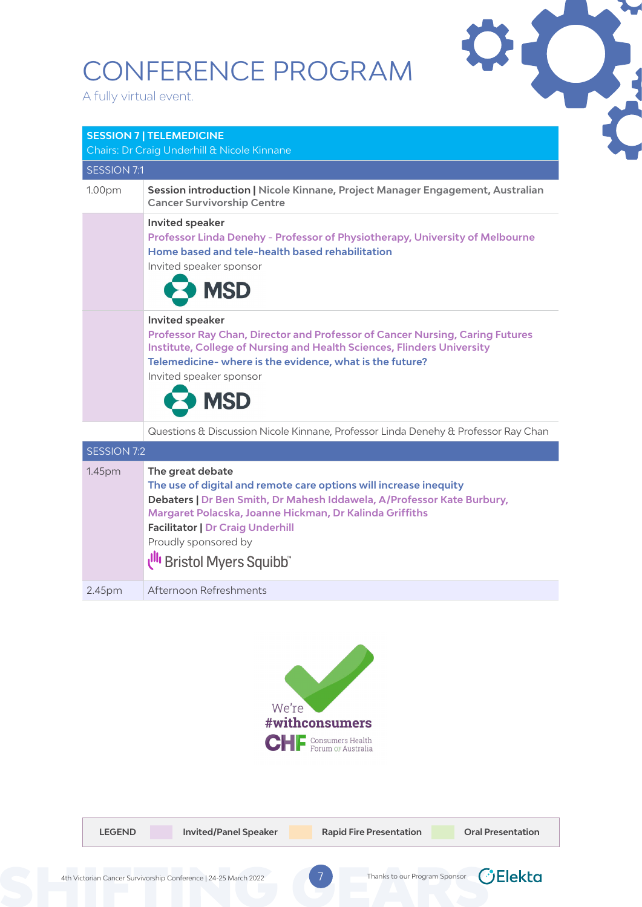A fully virtual event.

**SESSION 7 | TELEMEDICINE** 



| Chairs: Dr Craig Underhill & Nicole Kinnane |                                                                                                                                                                                                                                                                                                                            |  |  |  |
|---------------------------------------------|----------------------------------------------------------------------------------------------------------------------------------------------------------------------------------------------------------------------------------------------------------------------------------------------------------------------------|--|--|--|
| <b>SESSION 7:1</b>                          |                                                                                                                                                                                                                                                                                                                            |  |  |  |
| 1.00pm                                      | Session introduction   Nicole Kinnane, Project Manager Engagement, Australian<br><b>Cancer Survivorship Centre</b>                                                                                                                                                                                                         |  |  |  |
|                                             | <b>Invited speaker</b><br>Professor Linda Denehy - Professor of Physiotherapy, University of Melbourne<br>Home based and tele-health based rehabilitation<br>Invited speaker sponsor<br><b>MSD</b>                                                                                                                         |  |  |  |
|                                             | <b>Invited speaker</b><br>Professor Ray Chan, Director and Professor of Cancer Nursing, Caring Futures<br><b>Institute, College of Nursing and Health Sciences, Flinders University</b><br>Telemedicine-where is the evidence, what is the future?<br>Invited speaker sponsor<br><b>MSD</b>                                |  |  |  |
|                                             | Questions & Discussion Nicole Kinnane, Professor Linda Denehy & Professor Ray Chan                                                                                                                                                                                                                                         |  |  |  |
| <b>SESSION 7:2</b>                          |                                                                                                                                                                                                                                                                                                                            |  |  |  |
| 1.45pm                                      | The great debate<br>The use of digital and remote care options will increase inequity<br>Debaters   Dr Ben Smith, Dr Mahesh Iddawela, A/Professor Kate Burbury,<br>Margaret Polacska, Joanne Hickman, Dr Kalinda Griffiths<br><b>Facilitator   Dr Craig Underhill</b><br>Proudly sponsored by<br>Ull Bristol Myers Squibb" |  |  |  |
| 2.45 <sub>pm</sub>                          | Afternoon Refreshments                                                                                                                                                                                                                                                                                                     |  |  |  |



| <b>LEGEND</b> | <b>Invited/Panel Speaker</b>                              | <b>Rapid Fire Presentation</b> | <b>Oral Presentation</b>               |
|---------------|-----------------------------------------------------------|--------------------------------|----------------------------------------|
|               | ctorian Cancer Survivorship Conference   24-25 March 2022 |                                | Thanks to our Program Sponsor COElekta |